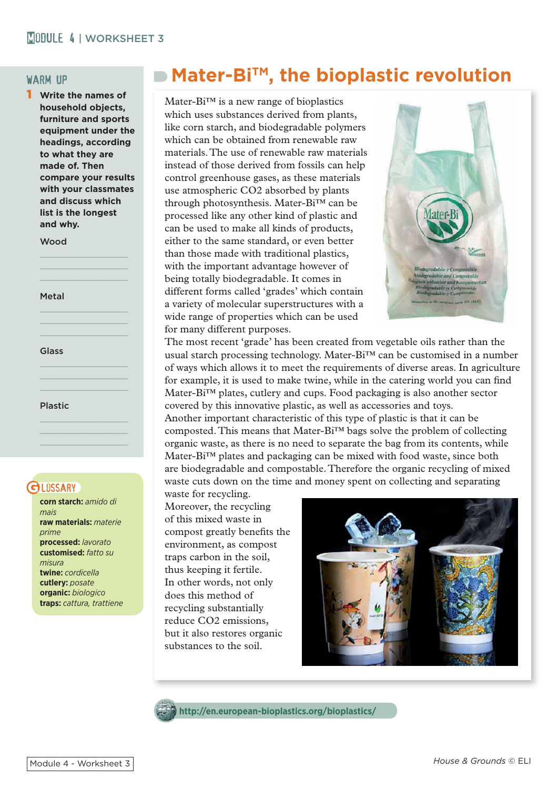#### warm up

1 **Write the names of household objects, furniture and sports equipment under the headings, according to what they are made of. Then compare your results with your classmates and discuss which list is the longest and why.**

Wood

 $\mathcal{L}=\mathcal{L}=\mathcal{L}=\mathcal{L}=\mathcal{L}=\mathcal{L}=\mathcal{L}=\mathcal{L}=\mathcal{L}=\mathcal{L}=\mathcal{L}=\mathcal{L}=\mathcal{L}=\mathcal{L}=\mathcal{L}=\mathcal{L}=\mathcal{L}=\mathcal{L}=\mathcal{L}=\mathcal{L}=\mathcal{L}=\mathcal{L}=\mathcal{L}=\mathcal{L}=\mathcal{L}=\mathcal{L}=\mathcal{L}=\mathcal{L}=\mathcal{L}=\mathcal{L}=\mathcal{L}=\mathcal{L}=\mathcal{L}=\mathcal{L}=\mathcal{L}=\mathcal{L}=\mathcal{$  $\mathcal{L}=\mathcal{L}=\mathcal{L}=\mathcal{L}=\mathcal{L}=\mathcal{L}=\mathcal{L}=\mathcal{L}=\mathcal{L}=\mathcal{L}=\mathcal{L}=\mathcal{L}=\mathcal{L}=\mathcal{L}=\mathcal{L}=\mathcal{L}=\mathcal{L}=\mathcal{L}=\mathcal{L}=\mathcal{L}=\mathcal{L}=\mathcal{L}=\mathcal{L}=\mathcal{L}=\mathcal{L}=\mathcal{L}=\mathcal{L}=\mathcal{L}=\mathcal{L}=\mathcal{L}=\mathcal{L}=\mathcal{L}=\mathcal{L}=\mathcal{L}=\mathcal{L}=\mathcal{L}=\mathcal{$ 

 $\mathcal{L}=\mathcal{L}=\mathcal{L}=\mathcal{L}=\mathcal{L}=\mathcal{L}=\mathcal{L}=\mathcal{L}=\mathcal{L}=\mathcal{L}=\mathcal{L}=\mathcal{L}=\mathcal{L}=\mathcal{L}=\mathcal{L}=\mathcal{L}=\mathcal{L}=\mathcal{L}=\mathcal{L}=\mathcal{L}=\mathcal{L}=\mathcal{L}=\mathcal{L}=\mathcal{L}=\mathcal{L}=\mathcal{L}=\mathcal{L}=\mathcal{L}=\mathcal{L}=\mathcal{L}=\mathcal{L}=\mathcal{L}=\mathcal{L}=\mathcal{L}=\mathcal{L}=\mathcal{L}=\mathcal{$  $\mathcal{L}=\frac{1}{2}$  , where  $\mathcal{L}=\frac{1}{2}$  , where  $\mathcal{L}=\frac{1}{2}$ 

 $\mathcal{L}=\mathcal{L}=\mathcal{L}=\mathcal{L}=\mathcal{L}=\mathcal{L}=\mathcal{L}=\mathcal{L}=\mathcal{L}=\mathcal{L}=\mathcal{L}=\mathcal{L}=\mathcal{L}=\mathcal{L}=\mathcal{L}=\mathcal{L}=\mathcal{L}=\mathcal{L}=\mathcal{L}=\mathcal{L}=\mathcal{L}=\mathcal{L}=\mathcal{L}=\mathcal{L}=\mathcal{L}=\mathcal{L}=\mathcal{L}=\mathcal{L}=\mathcal{L}=\mathcal{L}=\mathcal{L}=\mathcal{L}=\mathcal{L}=\mathcal{L}=\mathcal{L}=\mathcal{L}=\mathcal{$  $\mathcal{L}=\frac{1}{2}$  , where  $\mathcal{L}=\frac{1}{2}$  , where  $\mathcal{L}=\frac{1}{2}$ 

 $\mathcal{L}=\mathcal{L}=\mathcal{L}=\mathcal{L}=\mathcal{L}=\mathcal{L}=\mathcal{L}=\mathcal{L}=\mathcal{L}=\mathcal{L}=\mathcal{L}=\mathcal{L}=\mathcal{L}=\mathcal{L}=\mathcal{L}=\mathcal{L}=\mathcal{L}=\mathcal{L}=\mathcal{L}=\mathcal{L}=\mathcal{L}=\mathcal{L}=\mathcal{L}=\mathcal{L}=\mathcal{L}=\mathcal{L}=\mathcal{L}=\mathcal{L}=\mathcal{L}=\mathcal{L}=\mathcal{L}=\mathcal{L}=\mathcal{L}=\mathcal{L}=\mathcal{L}=\mathcal{L}=\mathcal{$  $\mathcal{L}=\frac{1}{2}\sum_{i=1}^{n} \frac{1}{2} \sum_{j=1}^{n} \frac{1}{2} \sum_{j=1}^{n} \frac{1}{2} \sum_{j=1}^{n} \frac{1}{2} \sum_{j=1}^{n} \frac{1}{2} \sum_{j=1}^{n} \frac{1}{2} \sum_{j=1}^{n} \frac{1}{2} \sum_{j=1}^{n} \frac{1}{2} \sum_{j=1}^{n} \frac{1}{2} \sum_{j=1}^{n} \frac{1}{2} \sum_{j=1}^{n} \frac{1}{2} \sum_{j=1}^{n} \frac{1}{2} \sum_{j$ 

Metal

Glass

Plastic

#### **BLOSSARY**

**corn starch:** *amido di mais*  **raw materials:** *materie prime* **processed:** *lavorato* **customised:** *fatto su misura* **twine:** *cordicella* **cutlery:** *posate* **organic:** *biologico* **traps:** *cattura, trattiene*

# ■ Mater-Bi<sup>™</sup>, the bioplastic revolution

Mater-Bi™ is a new range of bioplastics which uses substances derived from plants, like corn starch, and biodegradable polymers which can be obtained from renewable raw materials. The use of renewable raw materials instead of those derived from fossils can help control greenhouse gases, as these materials use atmospheric CO2 absorbed by plants through photosynthesis. Mater-Bi™ can be processed like any other kind of plastic and can be used to make all kinds of products, either to the same standard, or even better than those made with traditional plastics, with the important advantage however of being totally biodegradable. It comes in different forms called 'grades' which contain a variety of molecular superstructures with a wide range of properties which can be used for many different purposes.



The most recent 'grade' has been created from vegetable oils rather than the usual starch processing technology. Mater-Bi<sup>™</sup> can be customised in a number of ways which allows it to meet the requirements of diverse areas. In agriculture for example, it is used to make twine, while in the catering world you can find Mater-Bi™ plates, cutlery and cups. Food packaging is also another sector covered by this innovative plastic, as well as accessories and toys. Another important characteristic of this type of plastic is that it can be composted. This means that Mater-Bi™ bags solve the problem of collecting

organic waste, as there is no need to separate the bag from its contents, while Mater-Bi™ plates and packaging can be mixed with food waste, since both are biodegradable and compostable. Therefore the organic recycling of mixed waste cuts down on the time and money spent on collecting and separating

waste for recycling. Moreover, the recycling of this mixed waste in compost greatly benefits the environment, as compost traps carbon in the soil, thus keeping it fertile. In other words, not only does this method of recycling substantially reduce CO2 emissions, but it also restores organic substances to the soil.





**http://en.european-bioplastics.org/bioplastics/**